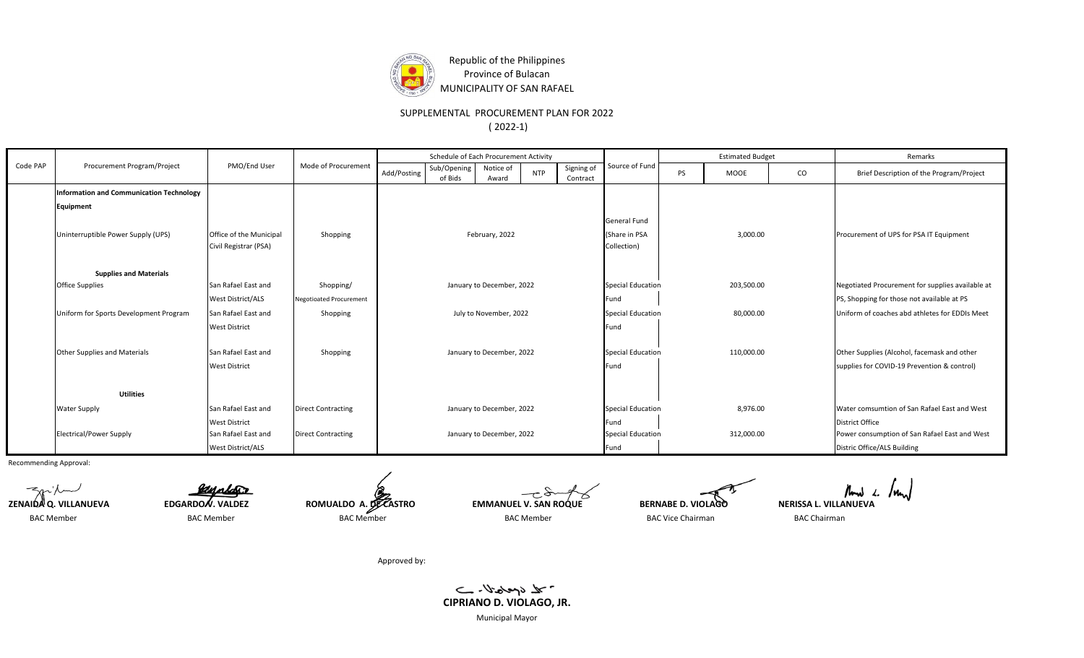

Republic of the Philippines Province of Bulacan MUNICIPALITY OF SAN RAFAEL

SUPPLEMENTAL PROCUREMENT PLAN FOR 2022

( 2022-1)

|          |                                                            |                          |                           |                           | Schedule of Each Procurement Activity |                           |            |                          | Source of Fund           |                                             | <b>Estimated Budget</b> |                                                  | Remarks                                       |
|----------|------------------------------------------------------------|--------------------------|---------------------------|---------------------------|---------------------------------------|---------------------------|------------|--------------------------|--------------------------|---------------------------------------------|-------------------------|--------------------------------------------------|-----------------------------------------------|
| Code PAP | Procurement Program/Project                                | PMO/End User             | Mode of Procurement       | Add/Posting               | Sub/Opening<br>of Bids                | Notice of<br>Award        | <b>NTP</b> | Signing of<br>Contract   |                          | <b>PS</b>                                   | <b>MOOE</b>             | $\rm CO$                                         | Brief Description of the Program/Project      |
|          | <b>Information and Communication Technology</b>            |                          |                           |                           |                                       |                           |            |                          |                          |                                             |                         |                                                  |                                               |
|          | <b>Equipment</b>                                           |                          |                           |                           |                                       |                           |            |                          |                          |                                             |                         |                                                  |                                               |
|          |                                                            |                          |                           |                           |                                       |                           |            | General Fund             |                          |                                             |                         |                                                  |                                               |
|          | Uninterruptible Power Supply (UPS)                         | Office of the Municipal  | Shopping                  | February, 2022            |                                       |                           |            |                          | (Share in PSA            |                                             | 3,000.00                |                                                  | Procurement of UPS for PSA IT Equipment       |
|          |                                                            | Civil Registrar (PSA)    |                           |                           |                                       |                           |            | Collection)              |                          |                                             |                         |                                                  |                                               |
|          |                                                            |                          |                           |                           |                                       |                           |            |                          |                          |                                             |                         |                                                  |                                               |
|          | <b>Supplies and Materials</b>                              |                          |                           |                           |                                       |                           |            |                          |                          |                                             |                         |                                                  |                                               |
|          | <b>Office Supplies</b>                                     | San Rafael East and      | Shopping/                 | January to December, 2022 |                                       |                           |            | <b>Special Education</b> | 203,500.00               |                                             |                         | Negotiated Procurement for supplies available at |                                               |
|          | <b>West District/ALS</b><br><b>Negotioated Procurement</b> |                          |                           |                           |                                       |                           |            |                          | Fund                     |                                             |                         |                                                  | PS, Shopping for those not available at PS    |
|          | Uniform for Sports Development Program                     | San Rafael East and      | Shopping                  | July to November, 2022    |                                       |                           |            | <b>Special Education</b> | 80,000.00                |                                             |                         | Uniform of coaches abd athletes for EDDIs Meet   |                                               |
|          |                                                            | <b>West District</b>     |                           |                           |                                       |                           |            | Fund                     |                          |                                             |                         |                                                  |                                               |
|          |                                                            |                          |                           |                           |                                       |                           |            |                          |                          |                                             |                         |                                                  |                                               |
|          | <b>Other Supplies and Materials</b>                        | San Rafael East and      | Shopping                  |                           | January to December, 2022             |                           |            | <b>Special Education</b> | 110,000.00               |                                             |                         | Other Supplies (Alcohol, facemask and other      |                                               |
|          |                                                            | <b>West District</b>     |                           |                           |                                       | Fund                      |            |                          |                          | supplies for COVID-19 Prevention & control) |                         |                                                  |                                               |
|          |                                                            |                          |                           |                           |                                       |                           |            |                          |                          |                                             |                         |                                                  |                                               |
|          | <b>Utilities</b>                                           |                          |                           |                           |                                       |                           |            |                          |                          |                                             |                         |                                                  |                                               |
|          | <b>Water Supply</b>                                        | San Rafael East and      | <b>Direct Contracting</b> | January to December, 2022 |                                       |                           |            |                          | <b>Special Education</b> | 8,976.00                                    |                         |                                                  | Water comsumtion of San Rafael East and West  |
|          |                                                            | <b>West District</b>     |                           |                           |                                       |                           |            |                          | Fund                     |                                             |                         |                                                  | <b>District Office</b>                        |
|          | <b>Electrical/Power Supply</b>                             | San Rafael East and      | <b>Direct Contracting</b> |                           |                                       | January to December, 2022 |            |                          | <b>Special Education</b> |                                             | 312,000.00              |                                                  | Power consumption of San Rafael East and West |
|          |                                                            | <b>West District/ALS</b> |                           |                           |                                       |                           |            |                          | Fund                     |                                             |                         |                                                  | Distric Office/ALS Building                   |

Recommending Approval:

BAC Member and BAC Member and BAC Member BAC Member BAC Member BAC Member BAC Chairman BAC Chairman BAC Chairman

**ZENAIDA Q. VILLANUEVA EDGARDO V. VALDEZ ROMUALDO A. DE CASTRO EMMANUEL V. SAN ROQUE BERNABE D. VIOLAGO NERISSA L. VILLANUEVA** 

Approved by:



Municipal Mayor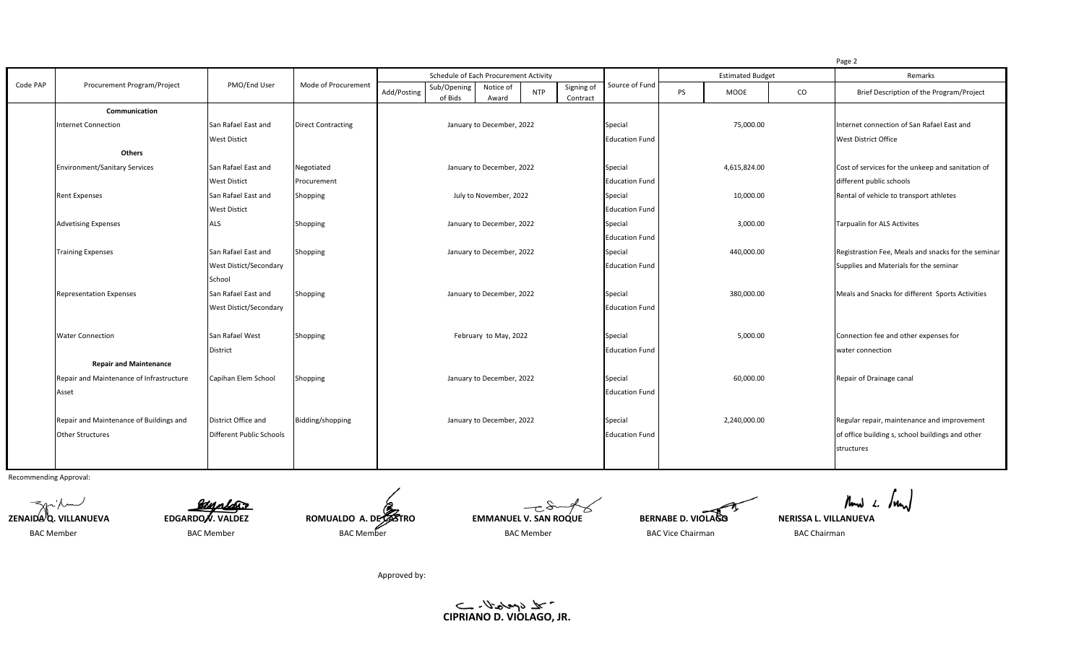|          |                                          |                                 |                           |                           |                                       |                           |                       |                        |                       |                                       |                                                  |                                                     | Page 2                                      |
|----------|------------------------------------------|---------------------------------|---------------------------|---------------------------|---------------------------------------|---------------------------|-----------------------|------------------------|-----------------------|---------------------------------------|--------------------------------------------------|-----------------------------------------------------|---------------------------------------------|
|          | Procurement Program/Project              | PMO/End User                    | Mode of Procurement       |                           | Schedule of Each Procurement Activity |                           |                       |                        | Source of Fund        | <b>Estimated Budget</b>               |                                                  |                                                     | Remarks                                     |
| Code PAP |                                          |                                 |                           | Add/Posting               | Sub/Opening<br>of Bids                | Notice of<br>Award        | <b>NTP</b>            | Signing of<br>Contract |                       | <b>PS</b>                             | MOOE                                             | $\rm CO$                                            | Brief Description of the Program/Project    |
|          | Communication                            |                                 |                           |                           |                                       |                           |                       |                        |                       |                                       |                                                  |                                                     |                                             |
|          | <b>Internet Connection</b>               | San Rafael East and             | <b>Direct Contracting</b> | January to December, 2022 |                                       |                           |                       | Special                | 75,000.00             |                                       |                                                  | Internet connection of San Rafael East and          |                                             |
|          |                                          | <b>West Distict</b>             |                           |                           |                                       |                           |                       | <b>Education Fund</b>  |                       |                                       |                                                  | West District Office                                |                                             |
|          | Others                                   |                                 |                           |                           |                                       |                           |                       |                        |                       |                                       |                                                  |                                                     |                                             |
|          | <b>Environment/Sanitary Services</b>     | San Rafael East and             | Negotiated                | January to December, 2022 |                                       |                           |                       | Special                | 4,615,824.00          |                                       |                                                  | Cost of services for the unkeep and sanitation of   |                                             |
|          |                                          | <b>West Distict</b>             | Procurement               |                           |                                       |                           |                       | <b>Education Fund</b>  |                       |                                       |                                                  | different public schools                            |                                             |
|          | <b>Rent Expenses</b>                     | San Rafael East and             | Shopping                  | July to November, 2022    |                                       |                           |                       | Special                | 10,000.00             |                                       |                                                  | Rental of vehicle to transport athletes             |                                             |
|          |                                          | <b>West Distict</b>             |                           |                           |                                       |                           |                       |                        | <b>Education Fund</b> |                                       |                                                  |                                                     |                                             |
|          | <b>Advetising Expenses</b>               | <b>ALS</b>                      | Shopping                  | January to December, 2022 |                                       |                           |                       | Special                | 3,000.00              |                                       |                                                  | <b>Tarpualin for ALS Activites</b>                  |                                             |
|          |                                          |                                 |                           |                           |                                       |                           |                       |                        | <b>Education Fund</b> |                                       |                                                  |                                                     |                                             |
|          | <b>Training Expenses</b>                 | San Rafael East and             | Shopping                  | January to December, 2022 |                                       |                           |                       | Special                | 440,000.00            |                                       |                                                  | Registrastion Fee, Meals and snacks for the seminar |                                             |
|          |                                          | <b>West Distict/Secondary</b>   |                           |                           |                                       |                           |                       | <b>Education Fund</b>  |                       |                                       |                                                  | Supplies and Materials for the seminar              |                                             |
|          |                                          | School                          |                           |                           |                                       |                           |                       |                        |                       |                                       |                                                  |                                                     |                                             |
|          | <b>Representation Expenses</b>           | San Rafael East and             | Shopping                  | January to December, 2022 |                                       |                           | Special               |                        | 380,000.00            |                                       | Meals and Snacks for different Sports Activities |                                                     |                                             |
|          |                                          | <b>West Distict/Secondary</b>   |                           |                           |                                       |                           | <b>Education Fund</b> |                        |                       |                                       |                                                  |                                                     |                                             |
|          |                                          |                                 |                           |                           |                                       |                           |                       |                        |                       |                                       |                                                  |                                                     |                                             |
|          | <b>Water Connection</b>                  | San Rafael West                 | Shopping                  | February to May, 2022     |                                       | Special                   | 5,000.00              |                        |                       | Connection fee and other expenses for |                                                  |                                                     |                                             |
|          |                                          | <b>District</b>                 |                           |                           |                                       | <b>Education Fund</b>     |                       |                        |                       | water connection                      |                                                  |                                                     |                                             |
|          | <b>Repair and Maintenance</b>            |                                 |                           |                           |                                       |                           |                       |                        |                       |                                       |                                                  |                                                     |                                             |
|          | Repair and Maintenance of Infrastructure | Capihan Elem School             | Shopping                  |                           |                                       | January to December, 2022 |                       |                        | Special               |                                       | 60,000.00                                        |                                                     | Repair of Drainage canal                    |
|          | Asset                                    |                                 |                           |                           |                                       |                           |                       | <b>Education Fund</b>  |                       |                                       |                                                  |                                                     |                                             |
|          |                                          |                                 |                           |                           |                                       |                           |                       |                        |                       |                                       |                                                  |                                                     |                                             |
|          | Repair and Maintenance of Buildings and  | District Office and             | Bidding/shopping          |                           |                                       | January to December, 2022 |                       |                        | Special               |                                       | 2,240,000.00                                     |                                                     | Regular repair, maintenance and improvement |
|          | <b>Other Structures</b>                  | <b>Different Public Schools</b> |                           |                           |                                       |                           |                       | <b>Education Fund</b>  |                       |                                       |                                                  | of office building s, school buildings and other    |                                             |
|          |                                          |                                 |                           |                           |                                       |                           |                       |                        |                       |                                       |                                                  |                                                     | structures                                  |
|          |                                          |                                 |                           |                           |                                       |                           |                       |                        |                       |                                       |                                                  |                                                     |                                             |

Recommending Approval:



Mand L. Joan

Approved by:

C<sub>I</sub>PRIANO D. VIOLAGO, JR.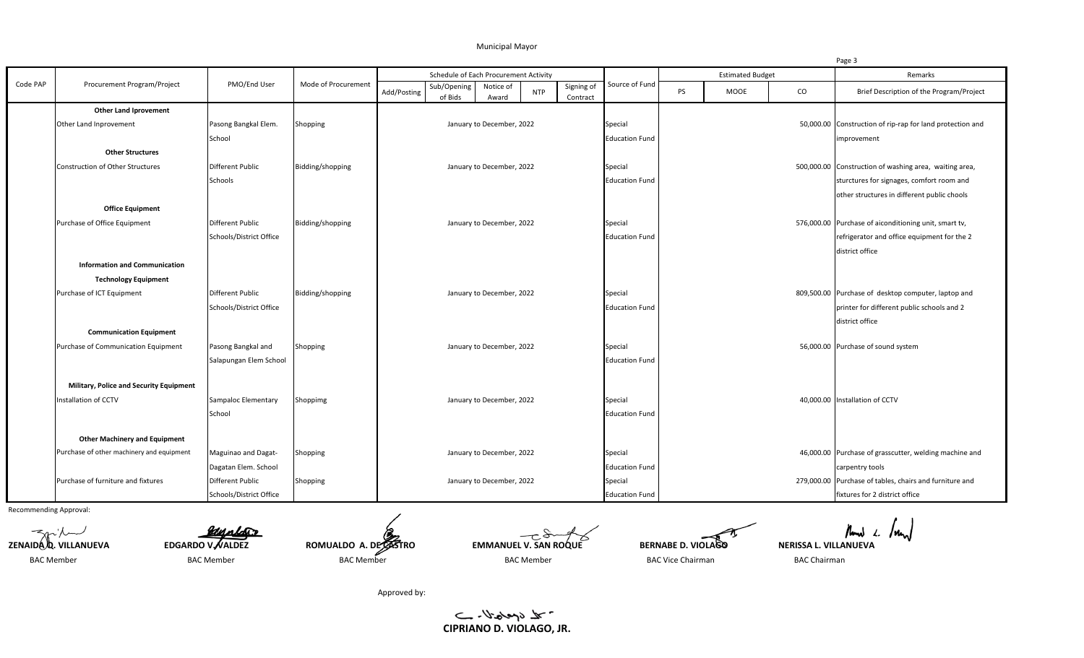## Municipal Mayor

|          |                                                                        |                            |                     |             |                                       |                           |            |                        |                       |                         |      |          | Page 3                                                    |
|----------|------------------------------------------------------------------------|----------------------------|---------------------|-------------|---------------------------------------|---------------------------|------------|------------------------|-----------------------|-------------------------|------|----------|-----------------------------------------------------------|
|          | Procurement Program/Project                                            | PMO/End User               | Mode of Procurement |             | Schedule of Each Procurement Activity |                           |            |                        | Source of Fund        | <b>Estimated Budget</b> |      |          | Remarks                                                   |
| Code PAP |                                                                        |                            |                     | Add/Posting | Sub/Opening<br>of Bids                | Notice of<br>Award        | <b>NTP</b> | Signing of<br>Contract |                       | <b>PS</b>               | MOOE | $\rm CO$ | Brief Description of the Program/Project                  |
|          | <b>Other Land Iprovement</b>                                           |                            |                     |             |                                       |                           |            |                        |                       |                         |      |          |                                                           |
|          | Other Land Inprovement                                                 | Pasong Bangkal Elem.       | Shopping            |             |                                       | January to December, 2022 |            |                        | Special               |                         |      |          | 50,000.00 Construction of rip-rap for land protection and |
|          |                                                                        | School                     |                     |             |                                       |                           |            |                        | <b>Education Fund</b> |                         |      |          | improvement                                               |
|          | <b>Other Structures</b>                                                |                            |                     |             |                                       |                           |            |                        |                       |                         |      |          |                                                           |
|          | <b>Construction of Other Structures</b>                                | <b>Different Public</b>    | Bidding/shopping    |             |                                       | January to December, 2022 |            |                        | Special               |                         |      |          | 500,000.00 Construction of washing area, waiting area,    |
|          |                                                                        | Schools                    |                     |             |                                       |                           |            |                        | <b>Education Fund</b> |                         |      |          | sturctures for signages, comfort room and                 |
|          |                                                                        |                            |                     |             |                                       |                           |            |                        |                       |                         |      |          | other structures in different public chools               |
|          | <b>Office Equipment</b>                                                |                            |                     |             |                                       |                           |            |                        |                       |                         |      |          |                                                           |
|          | Purchase of Office Equipment                                           | <b>Different Public</b>    | Bidding/shopping    |             |                                       | January to December, 2022 |            |                        | Special               |                         |      |          | 576,000.00 Purchase of aiconditioning unit, smart tv,     |
|          |                                                                        | Schools/District Office    |                     |             |                                       |                           |            |                        | <b>Education Fund</b> |                         |      |          | refrigerator and office equipment for the 2               |
|          |                                                                        |                            |                     |             |                                       |                           |            |                        |                       |                         |      |          | district office                                           |
|          | <b>Information and Communication</b>                                   |                            |                     |             |                                       |                           |            |                        |                       |                         |      |          |                                                           |
|          | <b>Technology Equipment</b>                                            |                            |                     |             |                                       |                           |            |                        |                       |                         |      |          |                                                           |
|          | Purchase of ICT Equipment                                              | Different Public           | Bidding/shopping    |             |                                       | January to December, 2022 |            |                        | Special               |                         |      |          | 809,500.00 Purchase of desktop computer, laptop and       |
|          |                                                                        | Schools/District Office    |                     |             |                                       |                           |            |                        | <b>Education Fund</b> |                         |      |          | printer for different public schools and 2                |
|          |                                                                        |                            |                     |             |                                       |                           |            |                        |                       |                         |      |          | district office                                           |
|          | <b>Communication Equipment</b>                                         |                            |                     |             |                                       |                           |            |                        |                       |                         |      |          |                                                           |
|          | Purchase of Communication Equipment                                    | Pasong Bangkal and         | Shopping            |             |                                       | January to December, 2022 |            |                        | Special               |                         |      |          | 56,000.00 Purchase of sound system                        |
|          |                                                                        | Salapungan Elem School     |                     |             |                                       |                           |            |                        | <b>Education Fund</b> |                         |      |          |                                                           |
|          |                                                                        |                            |                     |             |                                       |                           |            |                        |                       |                         |      |          |                                                           |
|          | <b>Military, Police and Security Equipment</b><br>Installation of CCTV | <b>Sampaloc Elementary</b> |                     |             |                                       | January to December, 2022 |            |                        |                       |                         |      |          | 40,000.00 Installation of CCTV                            |
|          |                                                                        |                            | Shoppimg            |             |                                       |                           |            |                        | Special               |                         |      |          |                                                           |
|          |                                                                        | School                     |                     |             |                                       |                           |            |                        | <b>Education Fund</b> |                         |      |          |                                                           |
|          | <b>Other Machinery and Equipment</b>                                   |                            |                     |             |                                       |                           |            |                        |                       |                         |      |          |                                                           |
|          | Purchase of other machinery and equipment                              | Maguinao and Dagat-        | Shopping            |             |                                       | January to December, 2022 |            |                        | Special               |                         |      |          | 46,000.00 Purchase of grasscutter, welding machine and    |
|          |                                                                        | Dagatan Elem. School       |                     |             |                                       |                           |            |                        | <b>Education Fund</b> |                         |      |          | carpentry tools                                           |
|          | Purchase of furniture and fixtures                                     | Different Public           | Shopping            |             |                                       | January to December, 2022 |            |                        | Special               |                         |      |          | 279,000.00 Purchase of tables, chairs and furniture and   |
|          |                                                                        | Schools/District Office    |                     |             |                                       |                           |            |                        | <b>Education Fund</b> |                         |      |          | fixtures for 2 district office                            |

Recommending Approval:



Approved by:

 $-2\sqrt{3}$ **CIPRIANO D. VIOLAGO, JR.**